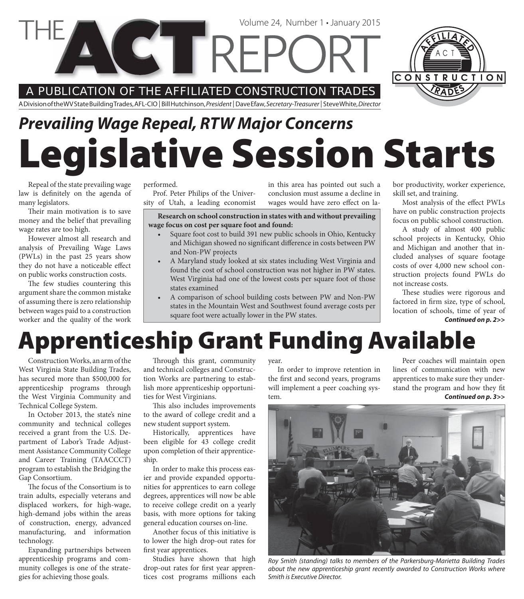A PUBLICATION OF THE AFFILIATED CONSTRUCTION TRADES

A Division of the WV State Building Trades, AFL-CIO | Bill Hutchinson, President | Dave Efaw, Secretary-Treasurer | Steve White, Director

# **Legislative Session Starts** *Prevailing Wage Repeal, RTW Major Concerns*

Volume 24, Number 1 • January 2015

Repeal of the state prevailing wage law is definitely on the agenda of many legislators.

Their main motivation is to save money and the belief that prevailing wage rates are too high.

However almost all research and analysis of Prevailing Wage Laws (PWLs) in the past 25 years show they do not have a noticeable effect on public works construction costs.

The few studies countering this argument share the common mistake of assuming there is zero relationship between wages paid to a construction worker and the quality of the work performed.

Prof. Peter Philips of the University of Utah, a leading economist in this area has pointed out such a conclusion must assume a decline in wages would have zero effect on la-

**Research on school construction in states with and without prevailing wage focus on cost per square foot and found:**

- Square foot cost to build 391 new public schools in Ohio, Kentucky and Michigan showed no significant difference in costs between PW and Non-PW projects
- A Maryland study looked at six states including West Virginia and found the cost of school construction was not higher in PW states. West Virginia had one of the lowest costs per square foot of those states examined
- A comparison of school building costs between PW and Non-PW states in the Mountain West and Southwest found average costs per square foot were actually lower in the PW states.

bor productivity, worker experience, skill set, and training.

Most analysis of the effect PWLs have on public construction projects focus on public school construction.

A study of almost 400 public school projects in Kentucky, Ohio and Michigan and another that included analyses of square footage costs of over 4,000 new school construction projects found PWLs do not increase costs.

*Continued on p. 2>>* These studies were rigorous and factored in firm size, type of school, location of schools, time of year of

## **Apprenticeship Grant Funding Available**

Construction Works, an arm of the West Virginia State Building Trades, has secured more than \$500,000 for apprenticeship programs through the West Virginia Community and Technical College System.

In October 2013, the state's nine community and technical colleges received a grant from the U.S. Department of Labor's Trade Adjustment Assistance Community College and Career Training (TAACCCT) program to establish the Bridging the Gap Consortium.

The focus of the Consortium is to train adults, especially veterans and displaced workers, for high-wage, high-demand jobs within the areas of construction, energy, advanced manufacturing, and information technology.

Expanding partnerships between apprenticeship programs and community colleges is one of the strategies for achieving those goals.

Through this grant, community and technical colleges and Construction Works are partnering to establish more apprenticeship opportunities for West Virginians.

This also includes improvements to the award of college credit and a new student support system.

Historically, apprentices have been eligible for 43 college credit upon completion of their apprenticeship.

In order to make this process easier and provide expanded opportunities for apprentices to earn college degrees, apprentices will now be able to receive college credit on a yearly basis, with more options for taking general education courses on-line.

Another focus of this initiative is to lower the high drop-out rates for first year apprentices.

Studies have shown that high drop-out rates for first year apprentices cost programs millions each year.

In order to improve retention in the first and second years, programs will implement a peer coaching system.

Peer coaches will maintain open lines of communication with new apprentices to make sure they understand the program and how they fit *Continued on p. 3>>*



Roy Smith (standing) talks to members of the Parkersburg-Marietta Building Trades about the new apprenticeship grant recently awarded to Construction Works where Smith is Executive Director.

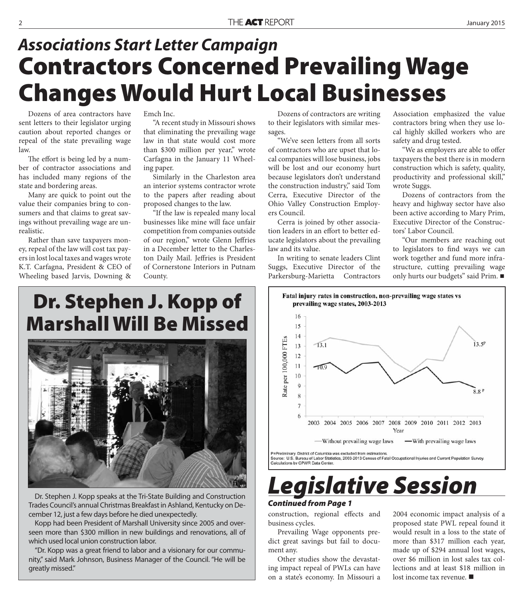### **Contractors Concerned Prevailing Wage Changes Would Hurt Local Businesses** *Associations Start Letter Campaign*

Dozens of area contractors have sent letters to their legislator urging caution about reported changes or repeal of the state prevailing wage law.

The effort is being led by a number of contractor associations and has included many regions of the state and bordering areas.

Many are quick to point out the value their companies bring to consumers and that claims to great savings without prevailing wage are unrealistic.

Rather than save taxpayers money, repeal of the law will cost tax payers in lost local taxes and wages wrote K.T. Carfagna, President & CEO of Wheeling based Jarvis, Downing &

Emch Inc.

"A recent study in Missouri shows that eliminating the prevailing wage law in that state would cost more than \$300 million per year," wrote Carfagna in the January 11 Wheeling paper.

Similarly in the Charleston area an interior systems contractor wrote to the papers after reading about proposed changes to the law.

"If the law is repealed many local businesses like mine will face unfair competition from companies outside of our region," wrote Glenn Jeffries in a December letter to the Charleston Daily Mail. Jeffries is President of Cornerstone Interiors in Putnam County.

Dozens of contractors are writing to their legislators with similar messages.

"We've seen letters from all sorts of contractors who are upset that local companies will lose business, jobs will be lost and our economy hurt because legislators don't understand the construction industry," said Tom Cerra, Executive Director of the Ohio Valley Construction Employers Council.

Cerra is joined by other association leaders in an effort to better educate legislators about the prevailing law and its value.

In writing to senate leaders Clint Suggs, Executive Director of the Parkersburg-Marietta Contractors Association emphasized the value contractors bring when they use local highly skilled workers who are safety and drug tested.

"We as employers are able to offer taxpayers the best there is in modern construction which is safety, quality, productivity and professional skill," wrote Suggs.

Dozens of contractors from the heavy and highway sector have also been active according to Mary Prim, Executive Director of the Constructors' Labor Council.

"Our members are reaching out to legislators to find ways we can work together and fund more infrastructure, cutting prevailing wage only hurts our budgets" said Prim.

### **Dr. Stephen J. Kopp of Marshall Will Be Missed**



Dr. Stephen J. Kopp speaks at the Tri-State Building and Construction Trades Council's annual Christmas Breakfast in Ashland, Kentucky on December 12, just a few days before he died unexpectedly.

Kopp had been President of Marshall University since 2005 and overseen more than \$300 million in new buildings and renovations, all of which used local union construction labor.

"Dr. Kopp was a great friend to labor and a visionary for our community," said Mark Johnson, Business Manager of the Council. "He will be greatly missed."



## *Legislative Session*

#### *Continued from Page 1*

construction, regional effects and business cycles.

Prevailing Wage opponents predict great savings but fail to document any.

Other studies show the devastating impact repeal of PWLs can have on a state's economy. In Missouri a

2004 economic impact analysis of a proposed state PWL repeal found it would result in a loss to the state of more than \$317 million each year, made up of \$294 annual lost wages, over \$6 million in lost sales tax collections and at least \$18 million in lost income tax revenue.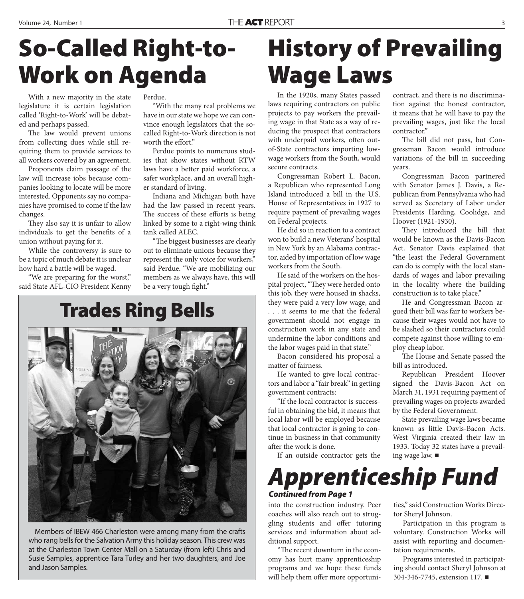With a new majority in the state legislature it is certain legislation called 'Right-to-Work' will be debated and perhaps passed.

The law would prevent unions from collecting dues while still requiring them to provide services to all workers covered by an agreement.

Proponents claim passage of the law will increase jobs because companies looking to locate will be more interested. Opponents say no companies have promised to come if the law changes.

They also say it is unfair to allow individuals to get the benefits of a union without paying for it.

While the controversy is sure to be a topic of much debate it is unclear how hard a battle will be waged.

"We are preparing for the worst," said State AFL-CIO President Kenny Perdue.

"With the many real problems we have in our state we hope we can convince enough legislators that the socalled Right-to-Work direction is not worth the effort."

Perdue points to numerous studies that show states without RTW laws have a better paid workforce, a safer workplace, and an overall higher standard of living.

Indiana and Michigan both have had the law passed in recent years. The success of these efforts is being linked by some to a right-wing think tank called ALEC.

"The biggest businesses are clearly out to eliminate unions because they represent the only voice for workers," said Perdue. "We are mobilizing our members as we always have, this will be a very tough fight."

### **Trades Ring Bells**



Members of IBEW 466 Charleston were among many from the crafts who rang bells for the Salvation Army this holiday season. This crew was at the Charleston Town Center Mall on a Saturday (from left) Chris and Susie Samples, apprentice Tara Turley and her two daughters, and Joe and Jason Samples.

## **History of Prevailing Wage Laws**

In the 1920s, many States passed laws requiring contractors on public projects to pay workers the prevailing wage in that State as a way of reducing the prospect that contractors with underpaid workers, often outof-State contractors importing lowwage workers from the South, would secure contracts.

Congressman Robert L. Bacon, a Republican who represented Long Island introduced a bill in the U.S. House of Representatives in 1927 to require payment of prevailing wages on Federal projects.

He did so in reaction to a contract won to build a new Veterans' hospital in New York by an Alabama contractor, aided by importation of low wage workers from the South.

He said of the workers on the hospital project, "They were herded onto this job, they were housed in shacks, they were paid a very low wage, and . . . it seems to me that the federal government should not engage in construction work in any state and undermine the labor conditions and the labor wages paid in that state."

Bacon considered his proposal a matter of fairness.

He wanted to give local contractors and labor a "fair break" in getting government contracts:

"If the local contractor is successful in obtaining the bid, it means that local labor will be employed because that local contractor is going to continue in business in that community after the work is done.

If an outside contractor gets the

contract, and there is no discrimination against the honest contractor, it means that he will have to pay the prevailing wages, just like the local contractor."

The bill did not pass, but Congressman Bacon would introduce variations of the bill in succeeding years.

Congressman Bacon partnered with Senator James J. Davis, a Republican from Pennsylvania who had served as Secretary of Labor under Presidents Harding, Coolidge, and Hoover (1921-1930).

They introduced the bill that would be known as the Davis-Bacon Act. Senator Davis explained that "the least the Federal Government can do is comply with the local standards of wages and labor prevailing in the locality where the building construction is to take place."

He and Congressman Bacon argued their bill was fair to workers because their wages would not have to be slashed so their contractors could compete against those willing to employ cheap labor.

The House and Senate passed the bill as introduced.

Republican President Hoover signed the Davis-Bacon Act on March 31, 1931 requiring payment of prevailing wages on projects awarded by the Federal Government.

State prevailing wage laws became known as little Davis-Bacon Acts. West Virginia created their law in 1933. Today 32 states have a prevailing wage law.

*Apprenticeship Fund Continued from Page 1*

into the construction industry. Peer coaches will also reach out to struggling students and offer tutoring services and information about additional support.

"The recent downturn in the economy has hurt many apprenticeship programs and we hope these funds will help them offer more opportunities," said Construction Works Director Sheryl Johnson.

Participation in this program is voluntary. Construction Works will assist with reporting and documentation requirements.

Programs interested in participating should contact Sheryl Johnson at 304-346-7745, extension 117.